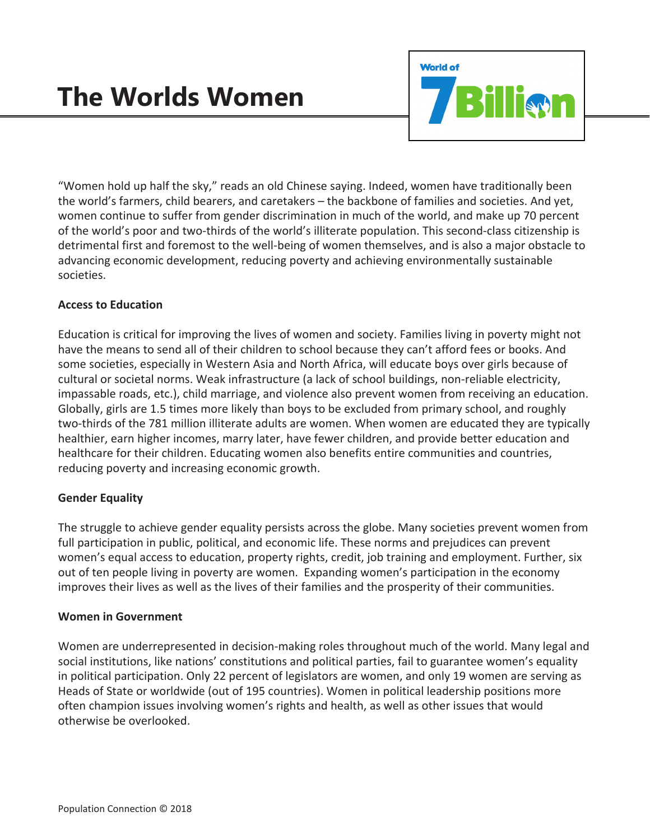# **The Worlds Women**



"Women hold up half the sky," reads an old Chinese saying. Indeed, women have traditionally been the world's farmers, child bearers, and caretakers – the backbone of families and societies. And yet, women continue to suffer from gender discrimination in much of the world, and make up 70 percent of the world's poor and two-thirds of the world's illiterate population. This second-class citizenship is detrimental first and foremost to the well-being of women themselves, and is also a major obstacle to advancing economic development, reducing poverty and achieving environmentally sustainable societies.

## **Access to Education**

Education is critical for improving the lives of women and society. Families living in poverty might not have the means to send all of their children to school because they can't afford fees or books. And some societies, especially in Western Asia and North Africa, will educate boys over girls because of cultural or societal norms. Weak infrastructure (a lack of school buildings, non-reliable electricity, impassable roads, etc.), child marriage, and violence also prevent women from receiving an education. Globally, girls are 1.5 times more likely than boys to be excluded from primary school, and roughly two-thirds of the 781 million illiterate adults are women. When women are educated they are typically healthier, earn higher incomes, marry later, have fewer children, and provide better education and healthcare for their children. Educating women also benefits entire communities and countries, reducing poverty and increasing economic growth.

## **Gender Equality**

The struggle to achieve gender equality persists across the globe. Many societies prevent women from full participation in public, political, and economic life. These norms and prejudices can prevent women's equal access to education, property rights, credit, job training and employment. Further, six out of ten people living in poverty are women. Expanding women's participation in the economy improves their lives as well as the lives of their families and the prosperity of their communities.

#### **Women in Government**

Women are underrepresented in decision-making roles throughout much of the world. Many legal and social institutions, like nations' constitutions and political parties, fail to guarantee women's equality in political participation. Only 22 percent of legislators are women, and only 19 women are serving as Heads of State or worldwide (out of 195 countries). Women in political leadership positions more often champion issues involving women's rights and health, as well as other issues that would otherwise be overlooked.